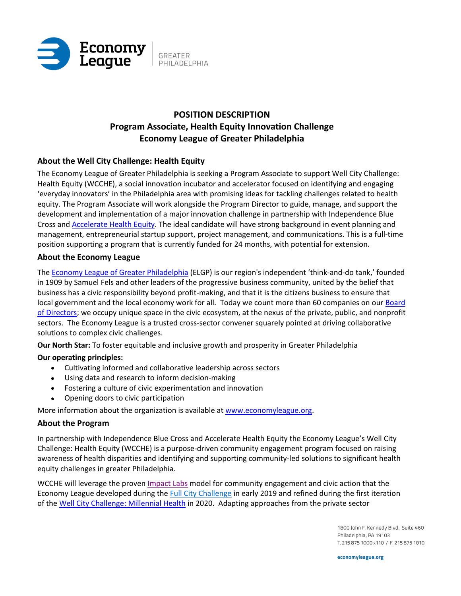

# **POSITION DESCRIPTION Program Associate, Health Equity Innovation Challenge Economy League of Greater Philadelphia**

# **About the Well City Challenge: Health Equity**

The Economy League of Greater Philadelphia is seeking a Program Associate to support Well City Challenge: Health Equity (WCCHE), a social innovation incubator and accelerator focused on identifying and engaging 'everyday innovators' in the Philadelphia area with promising ideas for tackling challenges related to health equity. The Program Associate will work alongside the Program Director to guide, manage, and support the development and implementation of a major innovation challenge in partnership with Independence Blue Cross an[d Accelerate Health Equity.](https://ahephl.org/) The ideal candidate will have strong background in event planning and management, entrepreneurial startup support, project management, and communications. This is a full-time position supporting a program that is currently funded for 24 months, with potential for extension.

## **About the Economy League**

The [Economy League of Greater Philadelphia](http://www.economyleague.org/) (ELGP) is our region's independent 'think-and-do tank,' founded in 1909 by Samuel Fels and other leaders of the progressive business community, united by the belief that business has a civic responsibility beyond profit-making, and that it is the citizens business to ensure that local government and the local economy work for all. Today we count more than 60 companies on our [Board](http://economyleague.org/about-us/board-of-directors)  [of Directors;](http://economyleague.org/about-us/board-of-directors) we occupy unique space in the civic ecosystem, at the nexus of the private, public, and nonprofit sectors. The Economy League is a trusted cross-sector convener squarely pointed at driving collaborative solutions to complex civic challenges.

**Our North Star:** To foster equitable and inclusive growth and prosperity in Greater Philadelphia

# **Our operating principles:**

- Cultivating informed and collaborative leadership across sectors
- Using data and research to inform decision-making
- Fostering a culture of civic experimentation and innovation
- Opening doors to civic participation

More information about the organization is available at [www.economyleague.org.](http://www.economyleague.org/)

## **About the Program**

In partnership with Independence Blue Cross and Accelerate Health Equity the Economy League's Well City Challenge: Health Equity (WCCHE) is a purpose-driven community engagement program focused on raising awareness of health disparities and identifying and supporting community-led solutions to significant health equity challenges in greater Philadelphia.

WCCHE will leverage the proven [Impact Labs](http://www.economyleague.org/impactlabs) model for community engagement and civic action that the Economy League developed during the [Full City Challenge](http://economyleague.org/fullcity) in early 2019 and refined during the first iteration of the [Well City Challenge: Millennial Health](https://economyleague.org/driving-regional-change/impact-labs/well-city-challenge) in 2020. Adapting approaches from the private sector

> 1800 John F. Kennedy Blvd., Suite 460 Philadelphia, PA 19103 T. 215 875 1000 x110 / F. 215 875 1010

economyleague.org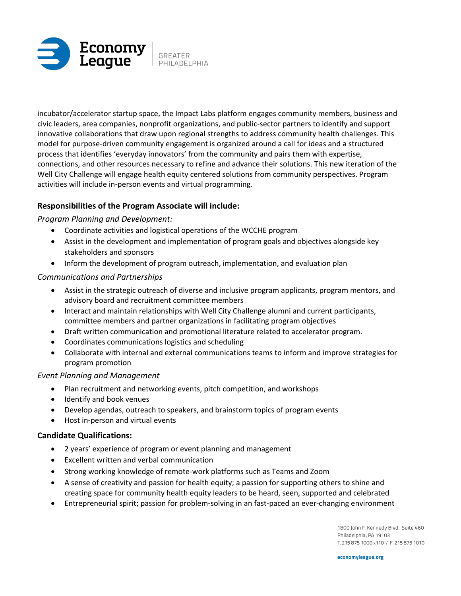

incubator/accelerator startup space, the Impact Labs platform engages community members, business and civic leaders, area companies, nonprofit organizations, and public-sector partners to identify and support innovative collaborations that draw upon regional strengths to address community health challenges. This model for purpose-driven community engagement is organized around a call for ideas and a structured process that identifies 'everyday innovators' from the community and pairs them with expertise, connections, and other resources necessary to refine and advance their solutions. This new iteration of the Well City Challenge will engage health equity centered solutions from community perspectives. Program activities will include in-person events and virtual programming.

# **Responsibilities of the Program Associate will include:**

## *Program Planning and Development:*

- Coordinate activities and logistical operations of the WCCHE program
- Assist in the development and implementation of program goals and objectives alongside key stakeholders and sponsors
- Inform the development of program outreach, implementation, and evaluation plan

## *Communications and Partnerships*

- Assist in the strategic outreach of diverse and inclusive program applicants, program mentors, and advisory board and recruitment committee members
- Interact and maintain relationships with Well City Challenge alumni and current participants, committee members and partner organizations in facilitating program objectives
- Draft written communication and promotional literature related to accelerator program.
- Coordinates communications logistics and scheduling
- Collaborate with internal and external communications teams to inform and improve strategies for program promotion

## *Event Planning and Management*

- Plan recruitment and networking events, pitch competition, and workshops
- Identify and book venues
- Develop agendas, outreach to speakers, and brainstorm topics of program events
- Host in-person and virtual events

## **Candidate Qualifications:**

- 2 years' experience of program or event planning and management
- Excellent written and verbal communication
- Strong working knowledge of remote-work platforms such as Teams and Zoom
- A sense of creativity and passion for health equity; a passion for supporting others to shine and creating space for community health equity leaders to be heard, seen, supported and celebrated
- Entrepreneurial spirit; passion for problem-solving in an fast-paced an ever-changing environment

1800 John F. Kennedy Blvd., Suite 460 Philadelphia, PA 19103 T. 215 875 1000 x110 / F. 215 875 1010